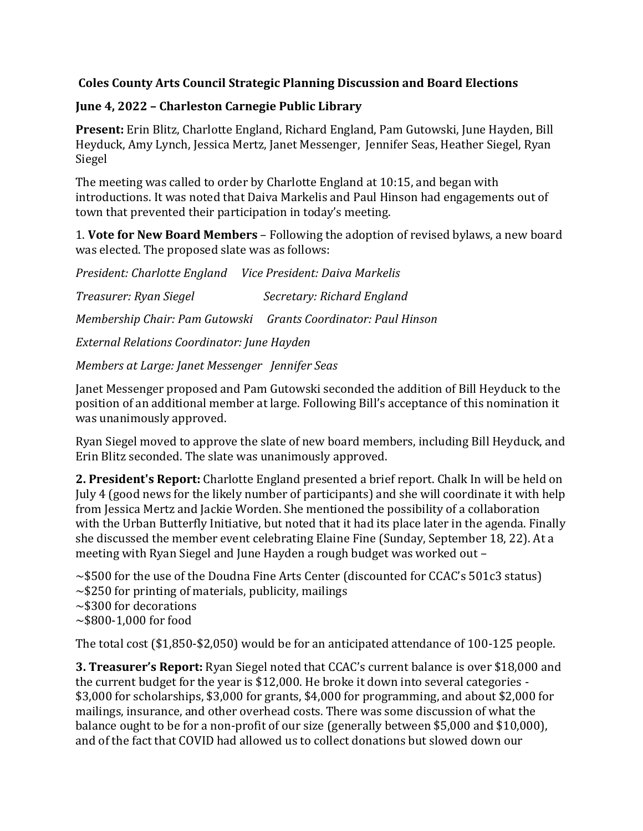## **Coles County Arts Council Strategic Planning Discussion and Board Elections**

## **June 4, 2022 – Charleston Carnegie Public Library**

**Present:** Erin Blitz, Charlotte England, Richard England, Pam Gutowski, June Hayden, Bill Heyduck, Amy Lynch, Jessica Mertz, Janet Messenger, Jennifer Seas, Heather Siegel, Ryan Siegel

The meeting was called to order by Charlotte England at 10:15, and began with introductions. It was noted that Daiva Markelis and Paul Hinson had engagements out of town that prevented their participation in today's meeting.

1. **Vote for New Board Members** – Following the adoption of revised bylaws, a new board was elected. The proposed slate was as follows:

*President: Charlotte England Vice President: Daiva Markelis Treasurer: Ryan Siegel Secretary: Richard England Membership Chair: Pam Gutowski Grants Coordinator: Paul Hinson External Relations Coordinator: June Hayden*

*Members at Large: Janet Messenger Jennifer Seas*

Janet Messenger proposed and Pam Gutowski seconded the addition of Bill Heyduck to the position of an additional member at large. Following Bill's acceptance of this nomination it was unanimously approved.

Ryan Siegel moved to approve the slate of new board members, including Bill Heyduck, and Erin Blitz seconded. The slate was unanimously approved.

**2. President's Report:** Charlotte England presented a brief report. Chalk In will be held on July 4 (good news for the likely number of participants) and she will coordinate it with help from Jessica Mertz and Jackie Worden. She mentioned the possibility of a collaboration with the Urban Butterfly Initiative, but noted that it had its place later in the agenda. Finally she discussed the member event celebrating Elaine Fine (Sunday, September 18, 22). At a meeting with Ryan Siegel and June Hayden a rough budget was worked out –

~\$500 for the use of the Doudna Fine Arts Center (discounted for CCAC's 501c3 status)

- $\sim$ \$250 for printing of materials, publicity, mailings
- ~\$300 for decorations
- $\sim$ \$800-1,000 for food

The total cost (\$1,850-\$2,050) would be for an anticipated attendance of 100-125 people.

**3. Treasurer's Report:** Ryan Siegel noted that CCAC's current balance is over \$18,000 and the current budget for the year is \$12,000. He broke it down into several categories - \$3,000 for scholarships, \$3,000 for grants, \$4,000 for programming, and about \$2,000 for mailings, insurance, and other overhead costs. There was some discussion of what the balance ought to be for a non-profit of our size (generally between \$5,000 and \$10,000), and of the fact that COVID had allowed us to collect donations but slowed down our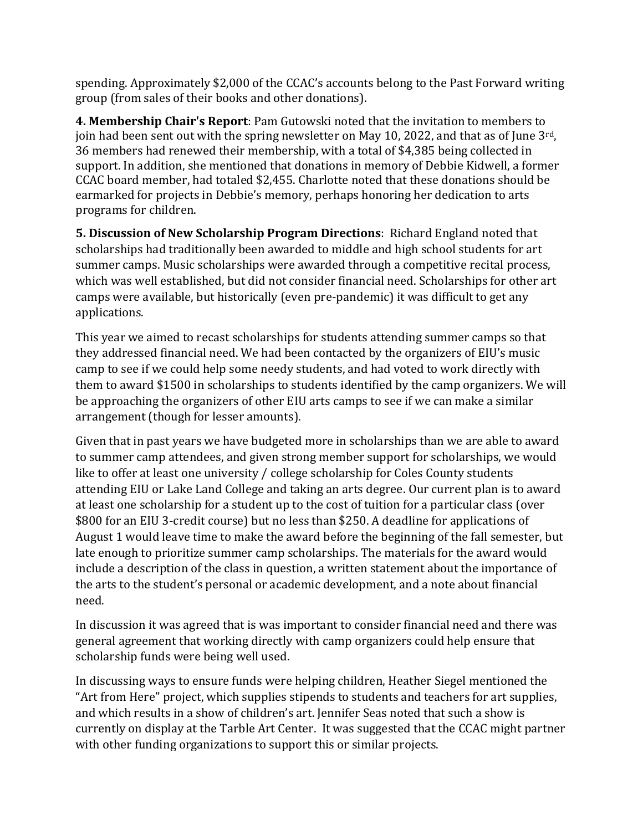spending. Approximately \$2,000 of the CCAC's accounts belong to the Past Forward writing group (from sales of their books and other donations).

**4. Membership Chair's Report**: Pam Gutowski noted that the invitation to members to join had been sent out with the spring newsletter on May 10, 2022, and that as of June  $3<sup>rd</sup>$ , 36 members had renewed their membership, with a total of \$4,385 being collected in support. In addition, she mentioned that donations in memory of Debbie Kidwell, a former CCAC board member, had totaled \$2,455. Charlotte noted that these donations should be earmarked for projects in Debbie's memory, perhaps honoring her dedication to arts programs for children.

**5. Discussion of New Scholarship Program Directions**: Richard England noted that scholarships had traditionally been awarded to middle and high school students for art summer camps. Music scholarships were awarded through a competitive recital process, which was well established, but did not consider financial need. Scholarships for other art camps were available, but historically (even pre-pandemic) it was difficult to get any applications.

This year we aimed to recast scholarships for students attending summer camps so that they addressed financial need. We had been contacted by the organizers of EIU's music camp to see if we could help some needy students, and had voted to work directly with them to award \$1500 in scholarships to students identified by the camp organizers. We will be approaching the organizers of other EIU arts camps to see if we can make a similar arrangement (though for lesser amounts).

Given that in past years we have budgeted more in scholarships than we are able to award to summer camp attendees, and given strong member support for scholarships, we would like to offer at least one university / college scholarship for Coles County students attending EIU or Lake Land College and taking an arts degree. Our current plan is to award at least one scholarship for a student up to the cost of tuition for a particular class (over \$800 for an EIU 3-credit course) but no less than \$250. A deadline for applications of August 1 would leave time to make the award before the beginning of the fall semester, but late enough to prioritize summer camp scholarships. The materials for the award would include a description of the class in question, a written statement about the importance of the arts to the student's personal or academic development, and a note about financial need.

In discussion it was agreed that is was important to consider financial need and there was general agreement that working directly with camp organizers could help ensure that scholarship funds were being well used.

In discussing ways to ensure funds were helping children, Heather Siegel mentioned the "Art from Here" project, which supplies stipends to students and teachers for art supplies, and which results in a show of children's art. Jennifer Seas noted that such a show is currently on display at the Tarble Art Center. It was suggested that the CCAC might partner with other funding organizations to support this or similar projects.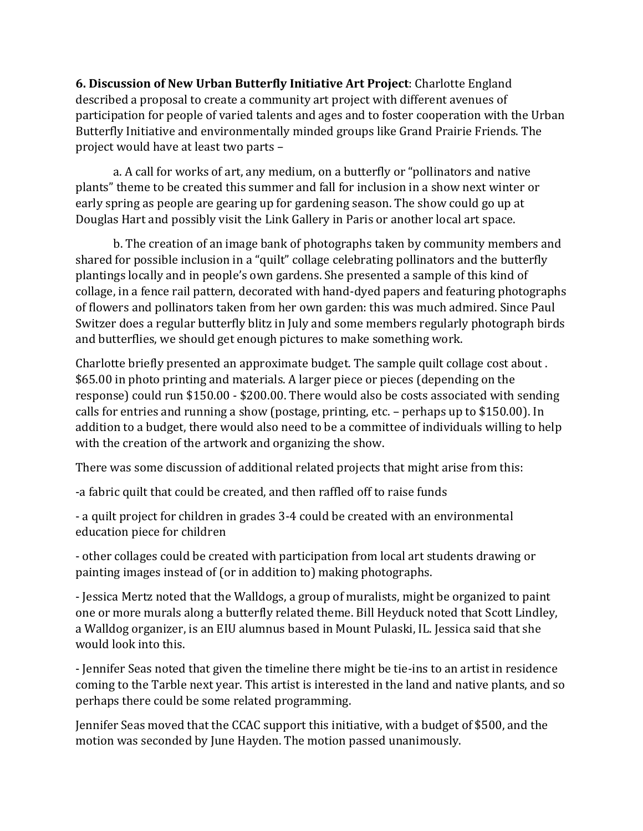**6. Discussion of New Urban Butterfly Initiative Art Project**: Charlotte England described a proposal to create a community art project with different avenues of participation for people of varied talents and ages and to foster cooperation with the Urban Butterfly Initiative and environmentally minded groups like Grand Prairie Friends. The project would have at least two parts –

a. A call for works of art, any medium, on a butterfly or "pollinators and native plants" theme to be created this summer and fall for inclusion in a show next winter or early spring as people are gearing up for gardening season. The show could go up at Douglas Hart and possibly visit the Link Gallery in Paris or another local art space.

b. The creation of an image bank of photographs taken by community members and shared for possible inclusion in a "quilt" collage celebrating pollinators and the butterfly plantings locally and in people's own gardens. She presented a sample of this kind of collage, in a fence rail pattern, decorated with hand-dyed papers and featuring photographs of flowers and pollinators taken from her own garden: this was much admired. Since Paul Switzer does a regular butterfly blitz in July and some members regularly photograph birds and butterflies, we should get enough pictures to make something work.

Charlotte briefly presented an approximate budget. The sample quilt collage cost about . \$65.00 in photo printing and materials. A larger piece or pieces (depending on the response) could run \$150.00 - \$200.00. There would also be costs associated with sending calls for entries and running a show (postage, printing, etc. – perhaps up to \$150.00). In addition to a budget, there would also need to be a committee of individuals willing to help with the creation of the artwork and organizing the show.

There was some discussion of additional related projects that might arise from this:

-a fabric quilt that could be created, and then raffled off to raise funds

- a quilt project for children in grades 3-4 could be created with an environmental education piece for children

- other collages could be created with participation from local art students drawing or painting images instead of (or in addition to) making photographs.

- Jessica Mertz noted that the Walldogs, a group of muralists, might be organized to paint one or more murals along a butterfly related theme. Bill Heyduck noted that Scott Lindley, a Walldog organizer, is an EIU alumnus based in Mount Pulaski, IL. Jessica said that she would look into this.

- Jennifer Seas noted that given the timeline there might be tie-ins to an artist in residence coming to the Tarble next year. This artist is interested in the land and native plants, and so perhaps there could be some related programming.

Jennifer Seas moved that the CCAC support this initiative, with a budget of \$500, and the motion was seconded by June Hayden. The motion passed unanimously.